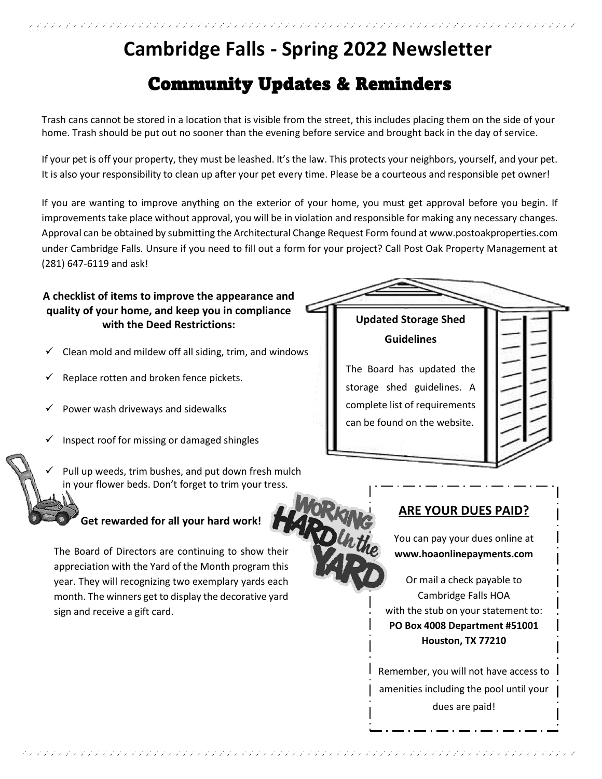# **Cambridge Falls - Spring 2022 Newsletter** Community Updates & Reminders

Trash cans cannot be stored in a location that is visible from the street, this includes placing them on the side of your home. Trash should be put out no sooner than the evening before service and brought back in the day of service.

If your pet is off your property, they must be leashed. It's the law. This protects your neighbors, yourself, and your pet. It is also your responsibility to clean up after your pet every time. Please be a courteous and responsible pet owner!

If you are wanting to improve anything on the exterior of your home, you must get approval before you begin. If improvements take place without approval, you will be in violation and responsible for making any necessary changes. Approval can be obtained by submitting the Architectural Change Request Form found at www.postoakproperties.com under Cambridge Falls. Unsure if you need to fill out a form for your project? Call Post Oak Property Management at (281) 647-6119 and ask!

#### **A checklist of items to improve the appearance and quality of your home, and keep you in compliance with the Deed Restrictions:**

- Clean mold and mildew off all siding, trim, and windows
- Replace rotten and broken fence pickets.
- Power wash driveways and sidewalks
- Inspect roof for missing or damaged shingles
- Pull up weeds, trim bushes, and put down fresh mulch in your flower beds. Don't forget to trim your tress.

#### **Get rewarded for all your hard work!**

The Board of Directors are continuing to show their appreciation with the Yard of the Month program this year. They will recognizing two exemplary yards each month. The winners get to display the decorative yard sign and receive a gift card.

エアアアアアアアアアアアアアアアアアアアアアアアアアアアアアアアアアア

#### **Updated Storage Shed Guidelines**

The Board has updated the storage shed guidelines. A complete list of requirements can be found on the website.

#### **ARE YOUR DUES PAID?**

You can pay your dues online at **www.hoaonlinepayments.com**

Or mail a check payable to Cambridge Falls HOA with the stub on your statement to: **PO Box 4008 Department #51001 Houston, TX 77210**

Remember, you will not have access to amenities including the pool until your dues are paid!